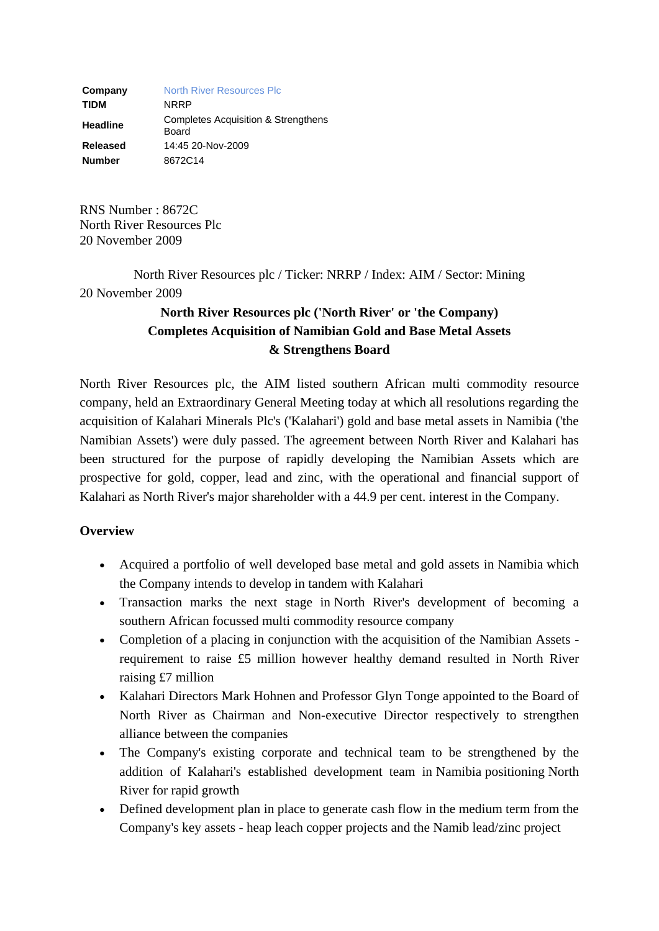**Company** [North River Resources Plc](http://www.londonstockexchange.com/exchange/prices-and-news/stocks/summary/company-summary-via-tidm.html?tidm=NRRP) **TIDM** NRRP **Headline** Completes Acquisition & Strengthens Board **Released** 14:45 20-Nov-2009 **Number** 8672C14

RNS Number : 8672C North River Resources Plc 20 November 2009

North River Resources plc / Ticker: NRRP / Index: AIM / Sector: Mining 20 November 2009

## **North River Resources plc ('North River' or 'the Company) Completes Acquisition of Namibian Gold and Base Metal Assets & Strengthens Board**

North River Resources plc, the AIM listed southern African multi commodity resource company, held an Extraordinary General Meeting today at which all resolutions regarding the acquisition of Kalahari Minerals Plc's ('Kalahari') gold and base metal assets in Namibia ('the Namibian Assets') were duly passed. The agreement between North River and Kalahari has been structured for the purpose of rapidly developing the Namibian Assets which are prospective for gold, copper, lead and zinc, with the operational and financial support of Kalahari as North River's major shareholder with a 44.9 per cent. interest in the Company.

## **Overview**

- Acquired a portfolio of well developed base metal and gold assets in Namibia which the Company intends to develop in tandem with Kalahari
- Transaction marks the next stage in North River's development of becoming a southern African focussed multi commodity resource company
- Completion of a placing in conjunction with the acquisition of the Namibian Assets requirement to raise £5 million however healthy demand resulted in North River raising £7 million
- Kalahari Directors Mark Hohnen and Professor Glyn Tonge appointed to the Board of North River as Chairman and Non-executive Director respectively to strengthen alliance between the companies
- The Company's existing corporate and technical team to be strengthened by the addition of Kalahari's established development team in Namibia positioning North River for rapid growth
- Defined development plan in place to generate cash flow in the medium term from the Company's key assets - heap leach copper projects and the Namib lead/zinc project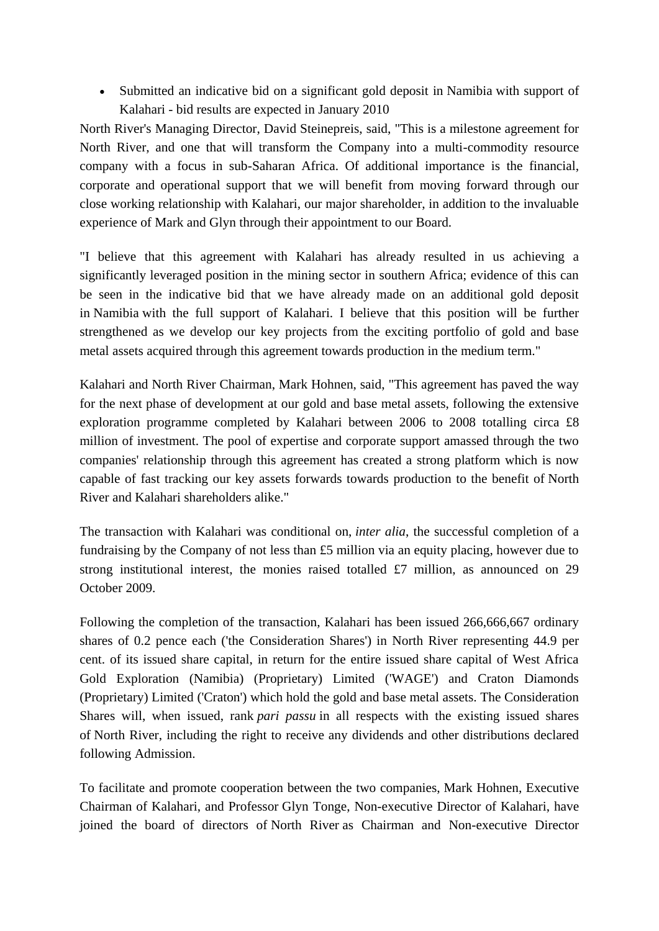Submitted an indicative bid on a significant gold deposit in Namibia with support of Kalahari - bid results are expected in January 2010

North River's Managing Director, David Steinepreis, said, "This is a milestone agreement for North River, and one that will transform the Company into a multi-commodity resource company with a focus in sub-Saharan Africa. Of additional importance is the financial, corporate and operational support that we will benefit from moving forward through our close working relationship with Kalahari, our major shareholder, in addition to the invaluable experience of Mark and Glyn through their appointment to our Board.

"I believe that this agreement with Kalahari has already resulted in us achieving a significantly leveraged position in the mining sector in southern Africa; evidence of this can be seen in the indicative bid that we have already made on an additional gold deposit in Namibia with the full support of Kalahari. I believe that this position will be further strengthened as we develop our key projects from the exciting portfolio of gold and base metal assets acquired through this agreement towards production in the medium term."

Kalahari and North River Chairman, Mark Hohnen, said, "This agreement has paved the way for the next phase of development at our gold and base metal assets, following the extensive exploration programme completed by Kalahari between 2006 to 2008 totalling circa £8 million of investment. The pool of expertise and corporate support amassed through the two companies' relationship through this agreement has created a strong platform which is now capable of fast tracking our key assets forwards towards production to the benefit of North River and Kalahari shareholders alike."

The transaction with Kalahari was conditional on, *inter alia*, the successful completion of a fundraising by the Company of not less than £5 million via an equity placing, however due to strong institutional interest, the monies raised totalled £7 million, as announced on 29 October 2009.

Following the completion of the transaction, Kalahari has been issued 266,666,667 ordinary shares of 0.2 pence each ('the Consideration Shares') in North River representing 44.9 per cent. of its issued share capital, in return for the entire issued share capital of West Africa Gold Exploration (Namibia) (Proprietary) Limited ('WAGE') and Craton Diamonds (Proprietary) Limited ('Craton') which hold the gold and base metal assets. The Consideration Shares will, when issued, rank *pari passu* in all respects with the existing issued shares of North River, including the right to receive any dividends and other distributions declared following Admission.

To facilitate and promote cooperation between the two companies, Mark Hohnen, Executive Chairman of Kalahari, and Professor Glyn Tonge, Non-executive Director of Kalahari, have joined the board of directors of North River as Chairman and Non-executive Director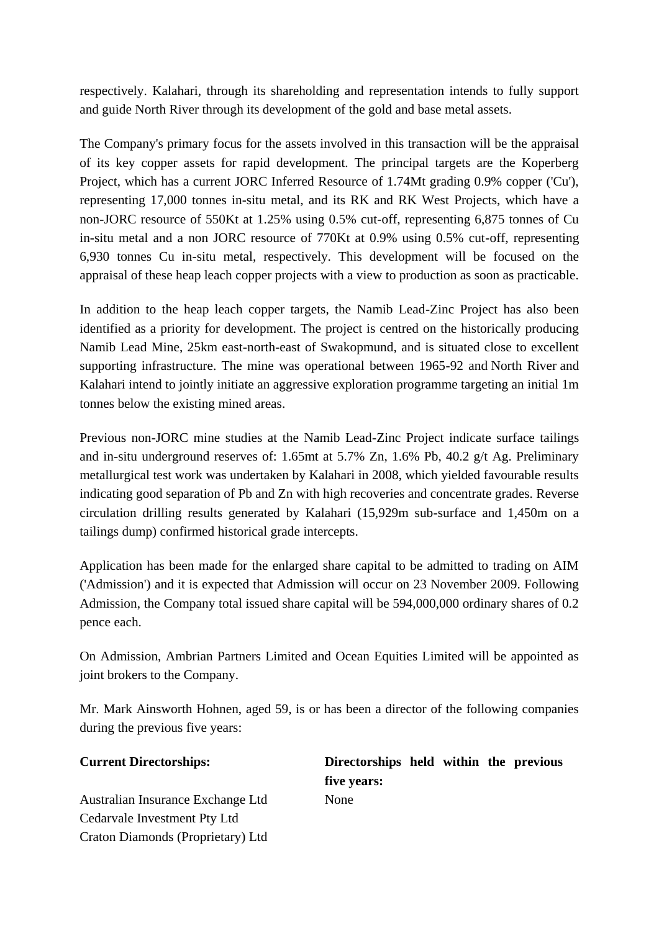respectively. Kalahari, through its shareholding and representation intends to fully support and guide North River through its development of the gold and base metal assets.

The Company's primary focus for the assets involved in this transaction will be the appraisal of its key copper assets for rapid development. The principal targets are the Koperberg Project, which has a current JORC Inferred Resource of 1.74Mt grading 0.9% copper ('Cu'), representing 17,000 tonnes in-situ metal, and its RK and RK West Projects, which have a non-JORC resource of 550Kt at 1.25% using 0.5% cut-off, representing 6,875 tonnes of Cu in-situ metal and a non JORC resource of 770Kt at 0.9% using 0.5% cut-off, representing 6,930 tonnes Cu in-situ metal, respectively. This development will be focused on the appraisal of these heap leach copper projects with a view to production as soon as practicable.

In addition to the heap leach copper targets, the Namib Lead-Zinc Project has also been identified as a priority for development. The project is centred on the historically producing Namib Lead Mine, 25km east-north-east of Swakopmund, and is situated close to excellent supporting infrastructure. The mine was operational between 1965-92 and North River and Kalahari intend to jointly initiate an aggressive exploration programme targeting an initial 1m tonnes below the existing mined areas.

Previous non-JORC mine studies at the Namib Lead-Zinc Project indicate surface tailings and in-situ underground reserves of: 1.65mt at 5.7% Zn, 1.6% Pb, 40.2 g/t Ag. Preliminary metallurgical test work was undertaken by Kalahari in 2008, which yielded favourable results indicating good separation of Pb and Zn with high recoveries and concentrate grades. Reverse circulation drilling results generated by Kalahari (15,929m sub-surface and 1,450m on a tailings dump) confirmed historical grade intercepts.

Application has been made for the enlarged share capital to be admitted to trading on AIM ('Admission') and it is expected that Admission will occur on 23 November 2009. Following Admission, the Company total issued share capital will be 594,000,000 ordinary shares of 0.2 pence each.

On Admission, Ambrian Partners Limited and Ocean Equities Limited will be appointed as joint brokers to the Company.

Mr. Mark Ainsworth Hohnen, aged 59, is or has been a director of the following companies during the previous five years:

| <b>Current Directorships:</b>     | Directorships held within the previous |  |  |
|-----------------------------------|----------------------------------------|--|--|
|                                   | five years:                            |  |  |
| Australian Insurance Exchange Ltd | None                                   |  |  |
| Cedarvale Investment Pty Ltd      |                                        |  |  |
| Craton Diamonds (Proprietary) Ltd |                                        |  |  |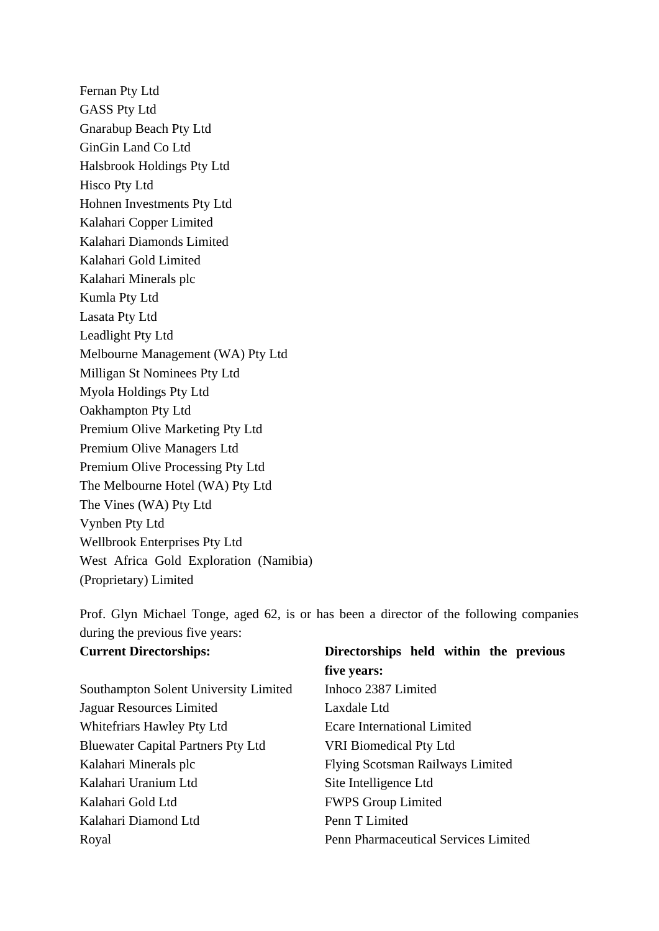Fernan Pty Ltd GASS Pty Ltd Gnarabup Beach Pty Ltd GinGin Land Co Ltd Halsbrook Holdings Pty Ltd Hisco Pty Ltd Hohnen Investments Pty Ltd Kalahari Copper Limited Kalahari Diamonds Limited Kalahari Gold Limited Kalahari Minerals plc Kumla Pty Ltd Lasata Pty Ltd Leadlight Pty Ltd Melbourne Management (WA) Pty Ltd Milligan St Nominees Pty Ltd Myola Holdings Pty Ltd Oakhampton Pty Ltd Premium Olive Marketing Pty Ltd Premium Olive Managers Ltd Premium Olive Processing Pty Ltd The Melbourne Hotel (WA) Pty Ltd The Vines (WA) Pty Ltd Vynben Pty Ltd Wellbrook Enterprises Pty Ltd West Africa Gold Exploration (Namibia) (Proprietary) Limited

Prof. Glyn Michael Tonge, aged 62, is or has been a director of the following companies during the previous five years:

| <b>Current Directorships:</b>             | Directorships held within the previous      |  |  |  |
|-------------------------------------------|---------------------------------------------|--|--|--|
|                                           | five years:                                 |  |  |  |
| Southampton Solent University Limited     | Inhoco 2387 Limited                         |  |  |  |
| Jaguar Resources Limited                  | Laxdale Ltd                                 |  |  |  |
| Whitefriars Hawley Pty Ltd                | Ecare International Limited                 |  |  |  |
| <b>Bluewater Capital Partners Pty Ltd</b> | <b>VRI Biomedical Pty Ltd</b>               |  |  |  |
| Kalahari Minerals plc                     | <b>Flying Scotsman Railways Limited</b>     |  |  |  |
| Kalahari Uranium Ltd                      | Site Intelligence Ltd                       |  |  |  |
| Kalahari Gold Ltd                         | <b>FWPS Group Limited</b>                   |  |  |  |
| Kalahari Diamond Ltd                      | Penn T Limited                              |  |  |  |
| Royal                                     | <b>Penn Pharmaceutical Services Limited</b> |  |  |  |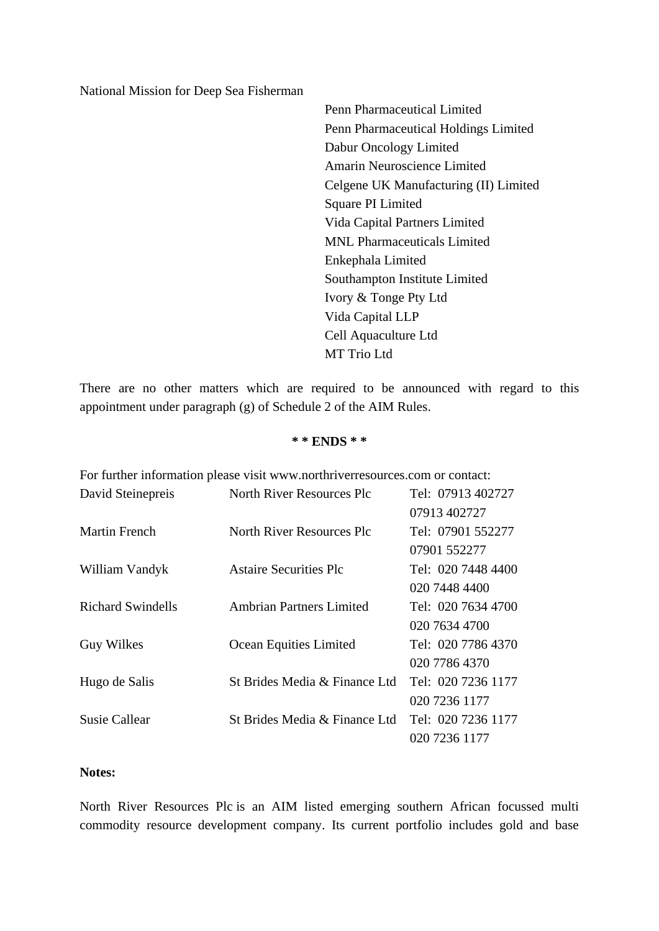National Mission for Deep Sea Fisherman

Penn Pharmaceutical Limited Penn Pharmaceutical Holdings Limited Dabur Oncology Limited Amarin Neuroscience Limited Celgene UK Manufacturing (II) Limited Square PI Limited Vida Capital Partners Limited MNL Pharmaceuticals Limited Enkephala Limited Southampton Institute Limited Ivory & Tonge Pty Ltd Vida Capital LLP Cell Aquaculture Ltd MT Trio Ltd

There are no other matters which are required to be announced with regard to this appointment under paragraph (g) of Schedule 2 of the AIM Rules.

## **\* \* ENDS \* \***

| For further information please visit www.northriverresources.com or contact: |                               |                    |  |  |  |
|------------------------------------------------------------------------------|-------------------------------|--------------------|--|--|--|
| David Steinepreis                                                            | North River Resources Plc     | Tel: 07913 402727  |  |  |  |
|                                                                              |                               | 07913 402727       |  |  |  |
| Martin French                                                                | North River Resources Plc     | Tel: 07901 552277  |  |  |  |
|                                                                              |                               | 07901 552277       |  |  |  |
| William Vandyk                                                               | Astaire Securities Plc        | Tel: 020 7448 4400 |  |  |  |
|                                                                              |                               | 020 7448 4400      |  |  |  |
| <b>Richard Swindells</b>                                                     | Ambrian Partners Limited      | Tel: 020 7634 4700 |  |  |  |
|                                                                              |                               | 020 7634 4700      |  |  |  |
| <b>Guy Wilkes</b>                                                            | Ocean Equities Limited        | Tel: 020 7786 4370 |  |  |  |
|                                                                              |                               | 020 7786 4370      |  |  |  |
| Hugo de Salis                                                                | St Brides Media & Finance Ltd | Tel: 020 7236 1177 |  |  |  |
|                                                                              |                               | 020 7236 1177      |  |  |  |
| Susie Callear                                                                | St Brides Media & Finance Ltd | Tel: 020 7236 1177 |  |  |  |
|                                                                              |                               | 020 7236 1177      |  |  |  |
|                                                                              |                               |                    |  |  |  |

## **Notes:**

North River Resources Plc is an AIM listed emerging southern African focussed multi commodity resource development company. Its current portfolio includes gold and base

For further information please visit www.northriverresources.com or contact: